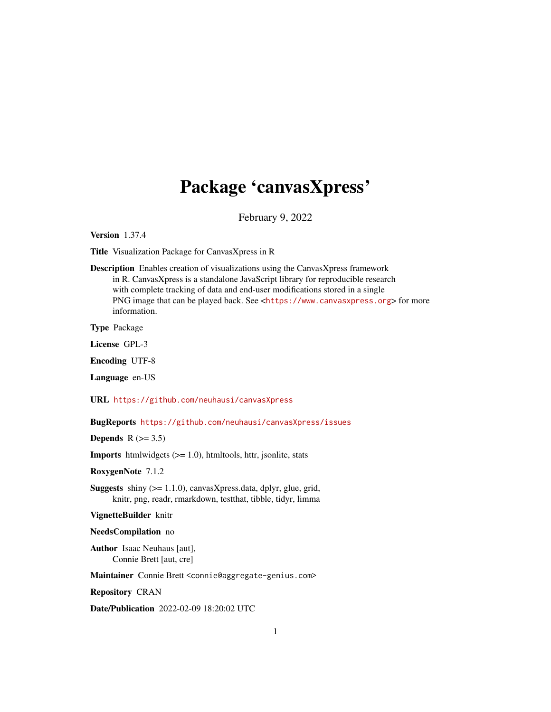## Package 'canvasXpress'

February 9, 2022

Version 1.37.4

Title Visualization Package for CanvasXpress in R

Description Enables creation of visualizations using the CanvasXpress framework in R. CanvasXpress is a standalone JavaScript library for reproducible research with complete tracking of data and end-user modifications stored in a single PNG image that can be played back. See <<https://www.canvasxpress.org>> for more information.

Type Package

License GPL-3

Encoding UTF-8

Language en-US

URL <https://github.com/neuhausi/canvasXpress>

BugReports <https://github.com/neuhausi/canvasXpress/issues>

Depends  $R$  ( $>= 3.5$ )

**Imports** htmlwidgets  $(>= 1.0)$ , htmltools, httr, jsonlite, stats

RoxygenNote 7.1.2

**Suggests** shiny  $(>= 1.1.0)$ , canvasXpress.data, dplyr, glue, grid, knitr, png, readr, rmarkdown, testthat, tibble, tidyr, limma

VignetteBuilder knitr

NeedsCompilation no

Author Isaac Neuhaus [aut], Connie Brett [aut, cre]

Maintainer Connie Brett <connie@aggregate-genius.com>

Repository CRAN

Date/Publication 2022-02-09 18:20:02 UTC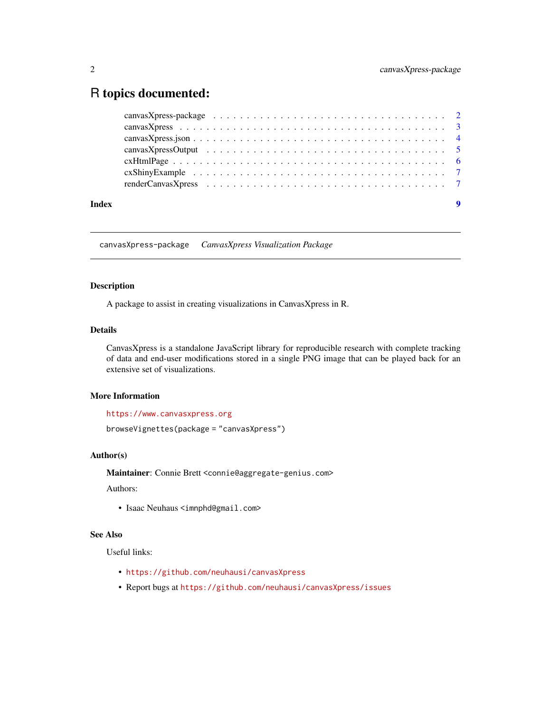### <span id="page-1-0"></span>R topics documented:

| Index |  |
|-------|--|
|       |  |
|       |  |
|       |  |
|       |  |
|       |  |
|       |  |
|       |  |

canvasXpress-package *CanvasXpress Visualization Package*

#### Description

A package to assist in creating visualizations in CanvasXpress in R.

#### Details

CanvasXpress is a standalone JavaScript library for reproducible research with complete tracking of data and end-user modifications stored in a single PNG image that can be played back for an extensive set of visualizations.

#### More Information

```
https://www.canvasxpress.org
```
browseVignettes(package = "canvasXpress")

#### Author(s)

Maintainer: Connie Brett <connie@aggregate-genius.com>

Authors:

• Isaac Neuhaus <imnphd@gmail.com>

#### See Also

Useful links:

- <https://github.com/neuhausi/canvasXpress>
- Report bugs at <https://github.com/neuhausi/canvasXpress/issues>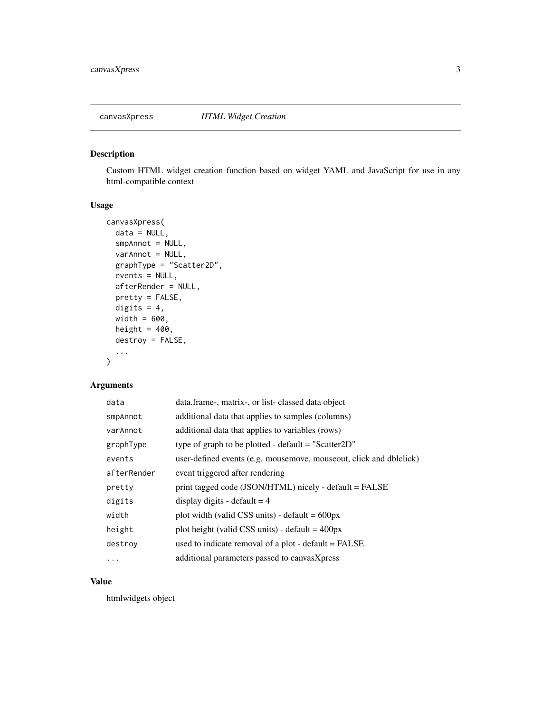<span id="page-2-0"></span>

#### Description

Custom HTML widget creation function based on widget YAML and JavaScript for use in any html-compatible context

#### Usage

```
canvasXpress(
  data = NULL,
  smpAnnot = NULL,
 varAnnot = NULL,
  graphType = "Scatter2D",
  events = NULL,
  afterRender = NULL,
 pretty = FALSE,
 digits = 4,
 width = 600,
 height = 400,
  destroy = FALSE,
  ...
\mathcal{L}
```
#### Arguments

| data        | data.frame-, matrix-, or list-classed data object                  |
|-------------|--------------------------------------------------------------------|
| smpAnnot    | additional data that applies to samples (columns)                  |
| varAnnot    | additional data that applies to variables (rows)                   |
| graphType   | type of graph to be plotted - default = "Scatter2D"                |
| events      | user-defined events (e.g. mousemove, mouseout, click and dblclick) |
| afterRender | event triggered after rendering                                    |
| pretty      | print tagged code (JSON/HTML) nicely - default = FALSE             |
| digits      | display digits - default $=$ 4                                     |
| width       | plot width (valid CSS units) - default $= 600px$                   |
| height      | plot height (valid CSS units) - default = $400px$                  |
| destroy     | used to indicate removal of a plot - default = FALSE               |
| $\ddotsc$   | additional parameters passed to canvasXpress                       |

#### Value

htmlwidgets object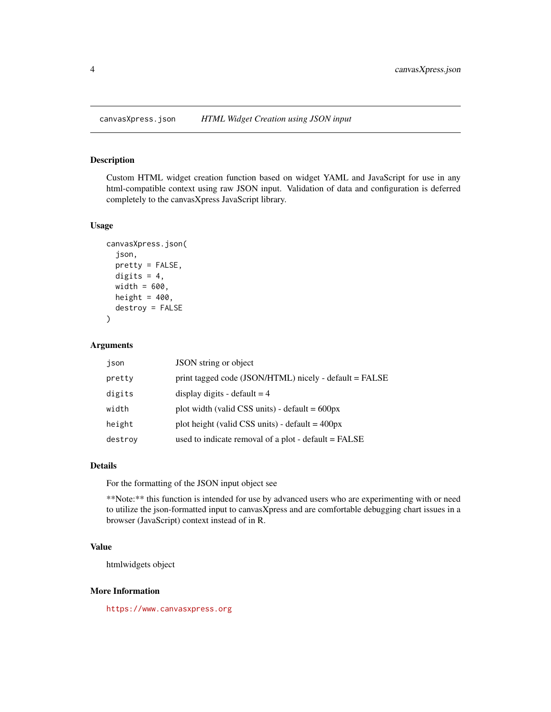<span id="page-3-0"></span>canvasXpress.json *HTML Widget Creation using JSON input*

#### Description

Custom HTML widget creation function based on widget YAML and JavaScript for use in any html-compatible context using raw JSON input. Validation of data and configuration is deferred completely to the canvasXpress JavaScript library.

#### Usage

```
canvasXpress.json(
  json,
 pretty = FALSE,
  digits = 4,
 width = 600,
  height = 400,
  destroy = FALSE
)
```
#### Arguments

| json    | JSON string or object                                  |
|---------|--------------------------------------------------------|
| pretty  | print tagged code (JSON/HTML) nicely - default = FALSE |
| digits  | display digits - default $=$ 4                         |
| width   | plot width (valid CSS units) - default = $600px$       |
| height  | plot height (valid CSS units) - default = $400px$      |
| destroy | used to indicate removal of a plot - default = FALSE   |

#### Details

For the formatting of the JSON input object see

\*\*Note:\*\* this function is intended for use by advanced users who are experimenting with or need to utilize the json-formatted input to canvasXpress and are comfortable debugging chart issues in a browser (JavaScript) context instead of in R.

#### Value

htmlwidgets object

#### More Information

<https://www.canvasxpress.org>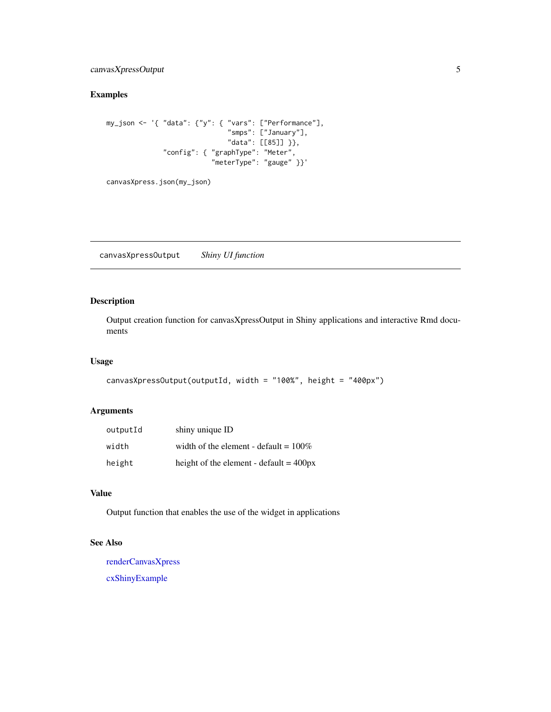#### <span id="page-4-0"></span>canvasXpressOutput 5

#### Examples

```
my_json <- '{ "data": {"y": { "vars": ["Performance"],
                              "smps": ["January"],
                              "data": [[85]] }},
              "config": { "graphType": "Meter",
                           "meterType": "gauge" }}'
```

```
canvasXpress.json(my_json)
```
<span id="page-4-1"></span>canvasXpressOutput *Shiny UI function*

#### Description

Output creation function for canvasXpressOutput in Shiny applications and interactive Rmd documents

#### Usage

```
canvasXpressOutput(outputId, width = "100%", height = "400px")
```
#### Arguments

| outputId | shiny unique ID                           |
|----------|-------------------------------------------|
| width    | width of the element - default = $100\%$  |
| height   | height of the element - default $= 400px$ |

#### Value

Output function that enables the use of the widget in applications

#### See Also

[renderCanvasXpress](#page-6-1) [cxShinyExample](#page-6-2)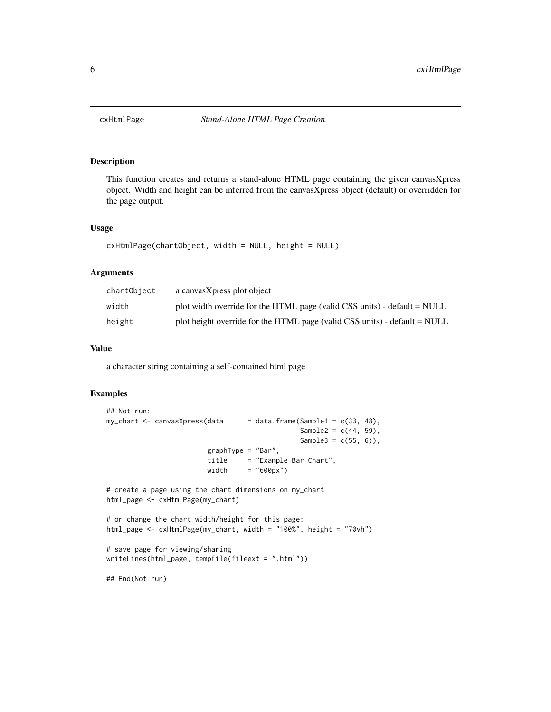<span id="page-5-0"></span>

#### Description

This function creates and returns a stand-alone HTML page containing the given canvasXpress object. Width and height can be inferred from the canvasXpress object (default) or overridden for the page output.

#### Usage

```
cxHtmlPage(chartObject, width = NULL, height = NULL)
```
#### Arguments

| chartObiect | a canvasXpress plot object                                                |
|-------------|---------------------------------------------------------------------------|
| width       | plot width override for the HTML page (valid CSS units) - default = NULL  |
| height      | plot height override for the HTML page (valid CSS units) - default = NULL |

#### Value

a character string containing a self-contained html page

#### Examples

```
## Not run:
my_{\text{c}}hart <- canvasXpress(data = data.frame(Sample1 = c(33, 48),
                                                Sample2 = c(44, 59),
                                                Sample3 = c(55, 6),
                         graphType = "Bar",
                         title = "Example Bar Chart",
                         width = "600px")
# create a page using the chart dimensions on my_chart
html_page <- cxHtmlPage(my_chart)
# or change the chart width/height for this page:
html_page <- cxHtmlPage(my_chart, width = "100%", height = "70vh")
# save page for viewing/sharing
writeLines(html_page, tempfile(fileext = ".html"))
## End(Not run)
```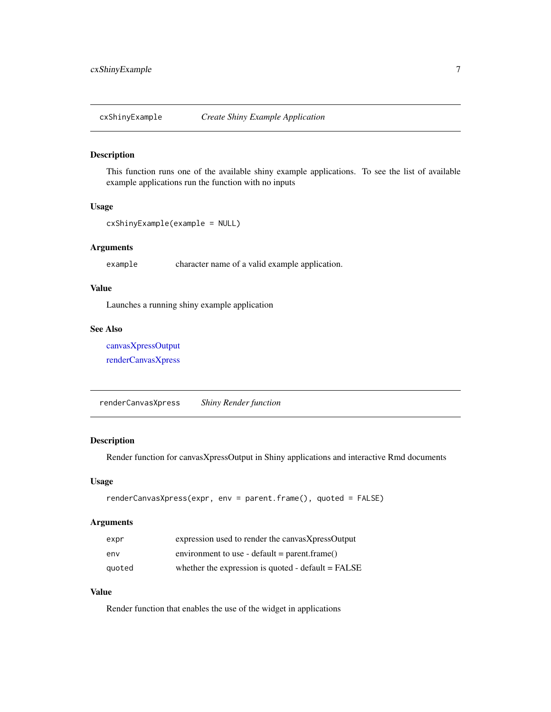<span id="page-6-2"></span><span id="page-6-0"></span>

#### Description

This function runs one of the available shiny example applications. To see the list of available example applications run the function with no inputs

#### Usage

```
cxShinyExample(example = NULL)
```
#### Arguments

example character name of a valid example application.

#### Value

Launches a running shiny example application

#### See Also

[canvasXpressOutput](#page-4-1) [renderCanvasXpress](#page-6-1)

<span id="page-6-1"></span>renderCanvasXpress *Shiny Render function*

#### Description

Render function for canvasXpressOutput in Shiny applications and interactive Rmd documents

#### Usage

```
renderCanvasXpress(expr, env = parent.frame(), quoted = FALSE)
```
#### Arguments

| expr   | expression used to render the canvasXpressOutput     |
|--------|------------------------------------------------------|
| env    | environment to use - default = parent.frame()        |
| quoted | whether the expression is quoted - default $=$ FALSE |

#### Value

Render function that enables the use of the widget in applications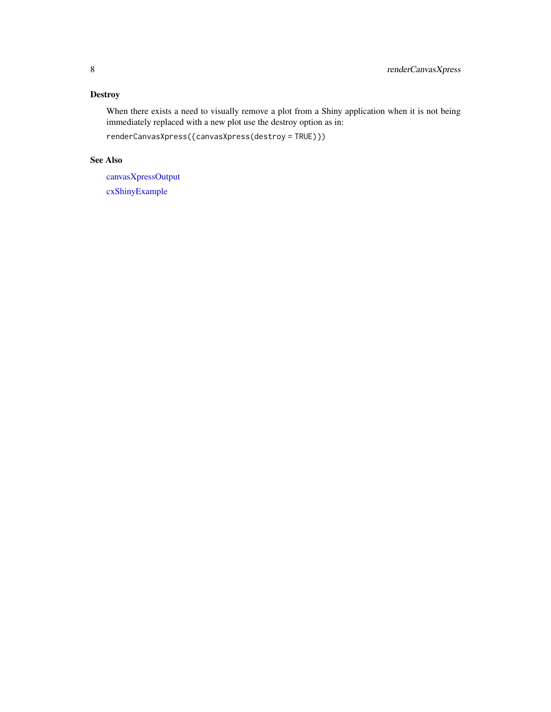#### <span id="page-7-0"></span>**Destroy**

When there exists a need to visually remove a plot from a Shiny application when it is not being immediately replaced with a new plot use the destroy option as in:

renderCanvasXpress({canvasXpress(destroy = TRUE)})

#### See Also

[canvasXpressOutput](#page-4-1) [cxShinyExample](#page-6-2)